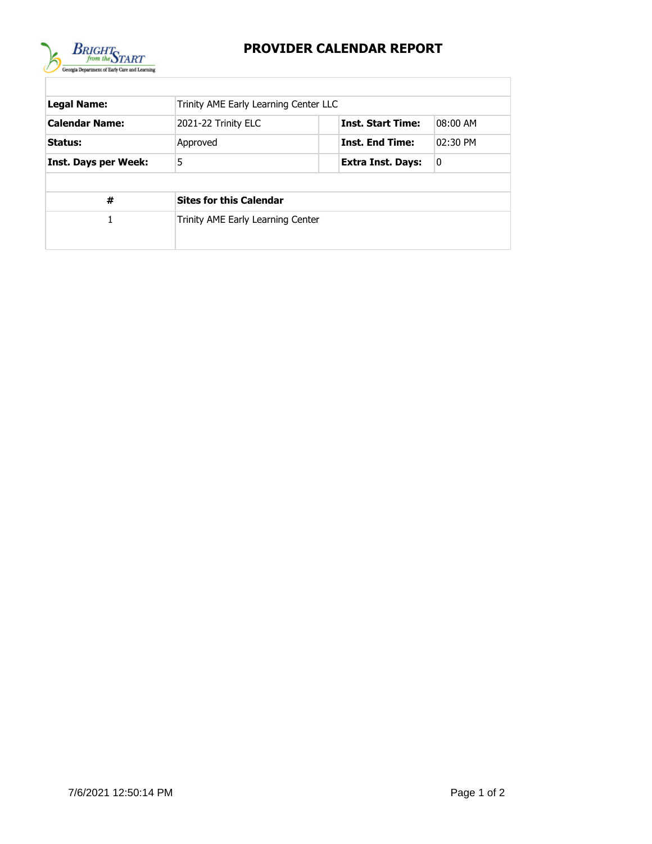

## **PROVIDER CALENDAR REPORT**

| <b>Legal Name:</b>          | Trinity AME Early Learning Center LLC                       |                        |          |  |  |  |  |
|-----------------------------|-------------------------------------------------------------|------------------------|----------|--|--|--|--|
| <b>Calendar Name:</b>       | <b>Inst. Start Time:</b><br>08:00 AM<br>2021-22 Trinity ELC |                        |          |  |  |  |  |
| Status:                     | Approved                                                    | <b>Inst. End Time:</b> | 02:30 PM |  |  |  |  |
| <b>Inst. Days per Week:</b> | 5                                                           | Extra Inst. Days:      | 0        |  |  |  |  |
|                             |                                                             |                        |          |  |  |  |  |
| #                           | <b>Sites for this Calendar</b>                              |                        |          |  |  |  |  |
| 1                           | Trinity AME Early Learning Center                           |                        |          |  |  |  |  |